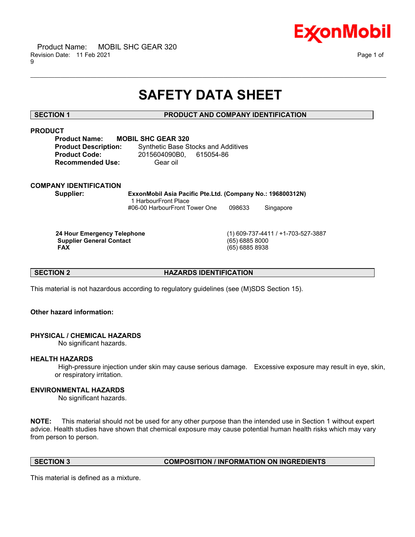

# **SAFETY DATA SHEET**

\_\_\_\_\_\_\_\_\_\_\_\_\_\_\_\_\_\_\_\_\_\_\_\_\_\_\_\_\_\_\_\_\_\_\_\_\_\_\_\_\_\_\_\_\_\_\_\_\_\_\_\_\_\_\_\_\_\_\_\_\_\_\_\_\_\_\_\_\_\_\_\_\_\_\_\_\_\_\_\_\_\_\_\_\_\_\_\_\_\_\_\_\_\_\_\_\_\_\_\_\_\_\_\_\_\_\_\_\_\_\_\_\_\_\_\_\_\_

# **SECTION 1 PRODUCT AND COMPANY IDENTIFICATION**

# **PRODUCT**

**Product Name: MOBIL SHC GEAR 320 Recommended Use:** Gear oil

**Product Description:** Synthetic Base Stocks and Additives **Product Code:** 2015604090B0, 615054-86

# **COMPANY IDENTIFICATION**

**Supplier: ExxonMobil Asia Pacific Pte.Ltd. (Company No.: 196800312N)** 1 HarbourFront Place #06-00 HarbourFront Tower One 098633 Singapore

**Supplier General Contact FAX** 

 **24 Hour Emergency Telephone** (1) 609-737-4411 / +1-703-527-3887  **FAX** (65) 6885 8938

**SECTION 2 HAZARDS IDENTIFICATION** 

This material is not hazardous according to regulatory guidelines (see (M)SDS Section 15).

# **Other hazard information:**

# **PHYSICAL / CHEMICAL HAZARDS**

No significant hazards.

# **HEALTH HAZARDS**

 High-pressure injection under skin may cause serious damage. Excessive exposure may result in eye, skin, or respiratory irritation.

# **ENVIRONMENTAL HAZARDS**

No significant hazards.

**NOTE:** This material should not be used for any other purpose than the intended use in Section 1 without expert advice. Health studies have shown that chemical exposure may cause potential human health risks which may vary from person to person.

# **SECTION 3 COMPOSITION / INFORMATION ON INGREDIENTS**

This material is defined as a mixture.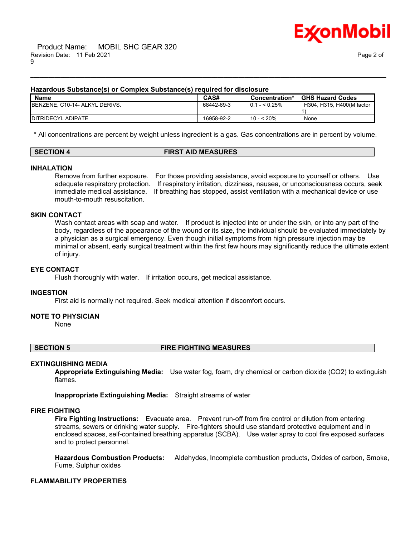

### **Hazardous Substance(s) or Complex Substance(s) required for disclosure**

| <b>Name</b>                    | CAS#       | Concentration*  | <b>GHS Hazard Codes</b>   |
|--------------------------------|------------|-----------------|---------------------------|
| BENZENE, C10-14- ALKYL DERIVS. | 68442-69-3 | $0.1 -  0.25\%$ | H304, H315, H400(M factor |
|                                |            |                 |                           |
| <b>IDITRIDECYL ADIPATE</b>     | 16958-92-2 | 10 - < 20%      | None                      |

\_\_\_\_\_\_\_\_\_\_\_\_\_\_\_\_\_\_\_\_\_\_\_\_\_\_\_\_\_\_\_\_\_\_\_\_\_\_\_\_\_\_\_\_\_\_\_\_\_\_\_\_\_\_\_\_\_\_\_\_\_\_\_\_\_\_\_\_\_\_\_\_\_\_\_\_\_\_\_\_\_\_\_\_\_\_\_\_\_\_\_\_\_\_\_\_\_\_\_\_\_\_\_\_\_\_\_\_\_\_\_\_\_\_\_\_\_\_

\* All concentrations are percent by weight unless ingredient is a gas. Gas concentrations are in percent by volume.

### **SECTION 4 FIRST AID MEASURES**

### **INHALATION**

Remove from further exposure. For those providing assistance, avoid exposure to yourself or others. Use adequate respiratory protection. If respiratory irritation, dizziness, nausea, or unconsciousness occurs, seek immediate medical assistance. If breathing has stopped, assist ventilation with a mechanical device or use mouth-to-mouth resuscitation.

#### **SKIN CONTACT**

Wash contact areas with soap and water. If product is injected into or under the skin, or into any part of the body, regardless of the appearance of the wound or its size, the individual should be evaluated immediately by a physician as a surgical emergency. Even though initial symptoms from high pressure injection may be minimal or absent, early surgical treatment within the first few hours may significantly reduce the ultimate extent of injury.

#### **EYE CONTACT**

Flush thoroughly with water. If irritation occurs, get medical assistance.

#### **INGESTION**

First aid is normally not required. Seek medical attention if discomfort occurs.

#### **NOTE TO PHYSICIAN**

None

### **SECTION 5 FIRE FIGHTING MEASURES**

#### **EXTINGUISHING MEDIA**

**Appropriate Extinguishing Media:** Use water fog, foam, dry chemical or carbon dioxide (CO2) to extinguish flames.

**Inappropriate Extinguishing Media:** Straight streams of water

#### **FIRE FIGHTING**

**Fire Fighting Instructions:** Evacuate area. Prevent run-off from fire control or dilution from entering streams, sewers or drinking water supply. Fire-fighters should use standard protective equipment and in enclosed spaces, self-contained breathing apparatus (SCBA). Use water spray to cool fire exposed surfaces and to protect personnel.

**Hazardous Combustion Products:** Aldehydes, Incomplete combustion products, Oxides of carbon, Smoke, Fume, Sulphur oxides

# **FLAMMABILITY PROPERTIES**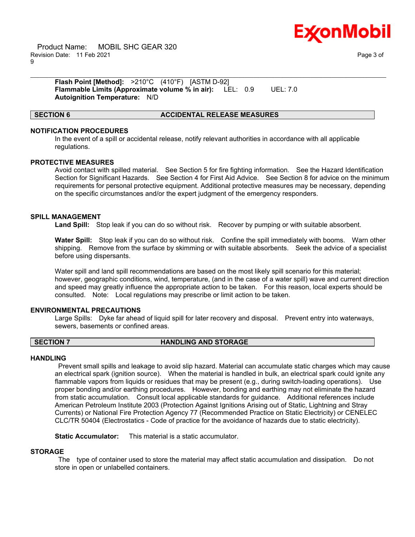

 Product Name: MOBIL SHC GEAR 320 Revision Date: 11 Feb 2021 Page 3 of 9

**Flash Point [Method]:** >210°C (410°F) [ASTM D-92] **Flammable Limits (Approximate volume % in air):** LEL: 0.9 UEL: 7.0 **Autoignition Temperature:** N/D

### **SECTION 6 ACCIDENTAL RELEASE MEASURES**

### **NOTIFICATION PROCEDURES**

In the event of a spill or accidental release, notify relevant authorities in accordance with all applicable regulations.

\_\_\_\_\_\_\_\_\_\_\_\_\_\_\_\_\_\_\_\_\_\_\_\_\_\_\_\_\_\_\_\_\_\_\_\_\_\_\_\_\_\_\_\_\_\_\_\_\_\_\_\_\_\_\_\_\_\_\_\_\_\_\_\_\_\_\_\_\_\_\_\_\_\_\_\_\_\_\_\_\_\_\_\_\_\_\_\_\_\_\_\_\_\_\_\_\_\_\_\_\_\_\_\_\_\_\_\_\_\_\_\_\_\_\_\_\_\_

#### **PROTECTIVE MEASURES**

Avoid contact with spilled material. See Section 5 for fire fighting information. See the Hazard Identification Section for Significant Hazards. See Section 4 for First Aid Advice. See Section 8 for advice on the minimum requirements for personal protective equipment. Additional protective measures may be necessary, depending on the specific circumstances and/or the expert judgment of the emergency responders.

#### **SPILL MANAGEMENT**

**Land Spill:** Stop leak if you can do so without risk. Recover by pumping or with suitable absorbent.

**Water Spill:** Stop leak if you can do so without risk. Confine the spill immediately with booms. Warn other shipping. Remove from the surface by skimming or with suitable absorbents. Seek the advice of a specialist before using dispersants.

Water spill and land spill recommendations are based on the most likely spill scenario for this material; however, geographic conditions, wind, temperature, (and in the case of a water spill) wave and current direction and speed may greatly influence the appropriate action to be taken. For this reason, local experts should be consulted. Note: Local regulations may prescribe or limit action to be taken.

#### **ENVIRONMENTAL PRECAUTIONS**

Large Spills: Dyke far ahead of liquid spill for later recovery and disposal. Prevent entry into waterways, sewers, basements or confined areas.

#### **SECTION 7 HANDLING AND STORAGE**

#### **HANDLING**

 Prevent small spills and leakage to avoid slip hazard. Material can accumulate static charges which may cause an electrical spark (ignition source). When the material is handled in bulk, an electrical spark could ignite any flammable vapors from liquids or residues that may be present (e.g., during switch-loading operations). Use proper bonding and/or earthing procedures. However, bonding and earthing may not eliminate the hazard from static accumulation. Consult local applicable standards for guidance. Additional references include American Petroleum Institute 2003 (Protection Against Ignitions Arising out of Static, Lightning and Stray Currents) or National Fire Protection Agency 77 (Recommended Practice on Static Electricity) or CENELEC CLC/TR 50404 (Electrostatics - Code of practice for the avoidance of hazards due to static electricity).

**Static Accumulator:** This material is a static accumulator.

# **STORAGE**

 The type of container used to store the material may affect static accumulation and dissipation. Do not store in open or unlabelled containers.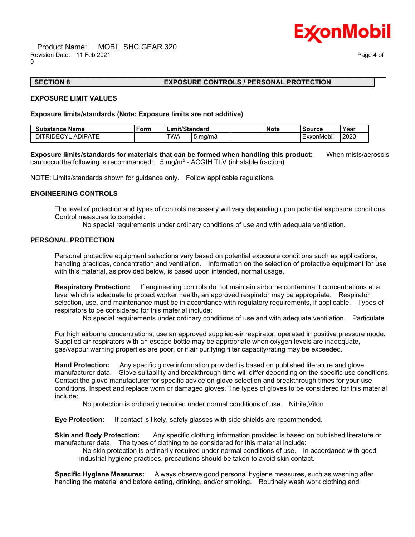

# **SECTION 8 EXPOSURE CONTROLS / PERSONAL PROTECTION**

#### **EXPOSURE LIMIT VALUES**

#### **Exposure limits/standards (Note: Exposure limits are not additive)**

| . .<br>Substance<br>∍Name                          | Form | าit/Standard<br>imit |            | Note | source | Year            |      |
|----------------------------------------------------|------|----------------------|------------|------|--------|-----------------|------|
| <b>NIPATE</b><br>$\sim$<br>RШ<br>י –ונ<br>ΑI<br>-- |      | TWA                  | mg/m.<br>. |      |        | .<br>ExxonMobil | 2020 |

**Exposure limits/standards for materials that can be formed when handling this product:** When mists/aerosols can occur the following is recommended:  $5 \text{ mg/m}^3$  - ACGIH TLV (inhalable fraction).

\_\_\_\_\_\_\_\_\_\_\_\_\_\_\_\_\_\_\_\_\_\_\_\_\_\_\_\_\_\_\_\_\_\_\_\_\_\_\_\_\_\_\_\_\_\_\_\_\_\_\_\_\_\_\_\_\_\_\_\_\_\_\_\_\_\_\_\_\_\_\_\_\_\_\_\_\_\_\_\_\_\_\_\_\_\_\_\_\_\_\_\_\_\_\_\_\_\_\_\_\_\_\_\_\_\_\_\_\_\_\_\_\_\_\_\_\_\_

NOTE: Limits/standards shown for guidance only. Follow applicable regulations.

#### **ENGINEERING CONTROLS**

The level of protection and types of controls necessary will vary depending upon potential exposure conditions. Control measures to consider:

No special requirements under ordinary conditions of use and with adequate ventilation.

### **PERSONAL PROTECTION**

Personal protective equipment selections vary based on potential exposure conditions such as applications, handling practices, concentration and ventilation. Information on the selection of protective equipment for use with this material, as provided below, is based upon intended, normal usage.

**Respiratory Protection:** If engineering controls do not maintain airborne contaminant concentrations at a level which is adequate to protect worker health, an approved respirator may be appropriate. Respirator selection, use, and maintenance must be in accordance with regulatory requirements, if applicable. Types of respirators to be considered for this material include:

No special requirements under ordinary conditions of use and with adequate ventilation. Particulate

For high airborne concentrations, use an approved supplied-air respirator, operated in positive pressure mode. Supplied air respirators with an escape bottle may be appropriate when oxygen levels are inadequate, gas/vapour warning properties are poor, or if air purifying filter capacity/rating may be exceeded.

**Hand Protection:** Any specific glove information provided is based on published literature and glove manufacturer data. Glove suitability and breakthrough time will differ depending on the specific use conditions. Contact the glove manufacturer for specific advice on glove selection and breakthrough times for your use conditions. Inspect and replace worn or damaged gloves. The types of gloves to be considered for this material include:

No protection is ordinarily required under normal conditions of use. Nitrile,Viton

**Eye Protection:** If contact is likely, safety glasses with side shields are recommended.

**Skin and Body Protection:** Any specific clothing information provided is based on published literature or manufacturer data. The types of clothing to be considered for this material include:

 No skin protection is ordinarily required under normal conditions of use. In accordance with good industrial hygiene practices, precautions should be taken to avoid skin contact.

**Specific Hygiene Measures:** Always observe good personal hygiene measures, such as washing after handling the material and before eating, drinking, and/or smoking. Routinely wash work clothing and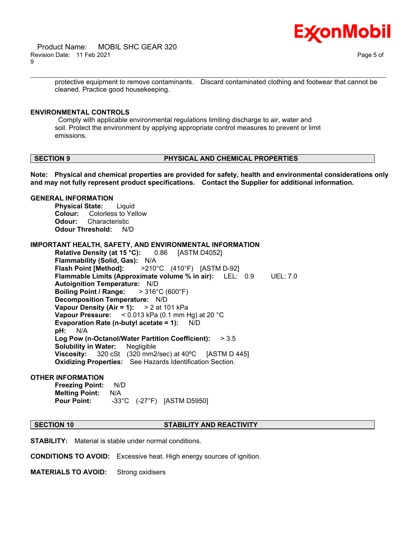

protective equipment to remove contaminants. Discard contaminated clothing and footwear that cannot be cleaned. Practice good housekeeping.

\_\_\_\_\_\_\_\_\_\_\_\_\_\_\_\_\_\_\_\_\_\_\_\_\_\_\_\_\_\_\_\_\_\_\_\_\_\_\_\_\_\_\_\_\_\_\_\_\_\_\_\_\_\_\_\_\_\_\_\_\_\_\_\_\_\_\_\_\_\_\_\_\_\_\_\_\_\_\_\_\_\_\_\_\_\_\_\_\_\_\_\_\_\_\_\_\_\_\_\_\_\_\_\_\_\_\_\_\_\_\_\_\_\_\_\_\_\_

### **ENVIRONMENTAL CONTROLS**

 Comply with applicable environmental regulations limiting discharge to air, water and soil. Protect the environment by applying appropriate control measures to prevent or limit emissions.

# **SECTION 9 PHYSICAL AND CHEMICAL PROPERTIES**

**Note: Physical and chemical properties are provided for safety, health and environmental considerations only and may not fully represent product specifications. Contact the Supplier for additional information.**

### **GENERAL INFORMATION**

**Physical State:** Liquid **Colour:** Colorless to Yellow **Odour:** Characteristic **Odour Threshold:** N/D

**IMPORTANT HEALTH, SAFETY, AND ENVIRONMENTAL INFORMATION**

**Relative Density (at 15 °C):** 0.86 [ASTM D4052] **Flammability (Solid, Gas):** N/A **Flash Point [Method]:** >210°C (410°F) [ASTM D-92] **Flammable Limits (Approximate volume % in air):** LEL: 0.9 UEL: 7.0 **Autoignition Temperature:** N/D **Boiling Point / Range:** > 316°C (600°F) **Decomposition Temperature:** N/D **Vapour Density (Air = 1):** > 2 at 101 kPa **Vapour Pressure:** < 0.013 kPa (0.1 mm Hg) at 20 °C **Evaporation Rate (n-butyl acetate = 1):** N/D **pH:** N/A **Log Pow (n-Octanol/Water Partition Coefficient):** > 3.5 **Solubility in Water:** Negligible **Viscosity:** 320 cSt (320 mm2/sec) at 40ºC [ASTM D 445] **Oxidizing Properties:** See Hazards Identification Section.

# **OTHER INFORMATION**

**Freezing Point:** N/D **Melting Point:** N/A **Pour Point:** -33°C (-27°F) [ASTM D5950]

# **SECTION 10 STABILITY AND REACTIVITY**

**STABILITY:** Material is stable under normal conditions.

**CONDITIONS TO AVOID:** Excessive heat. High energy sources of ignition.

**MATERIALS TO AVOID:** Strong oxidisers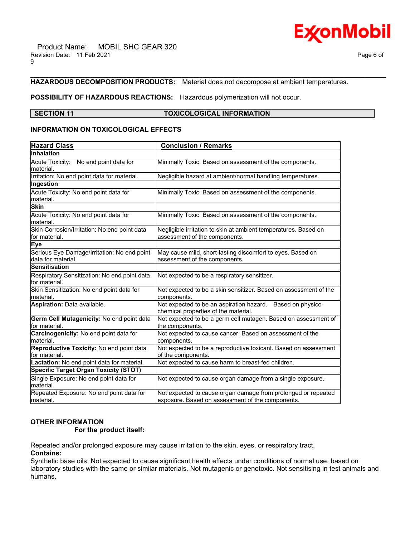

# **HAZARDOUS DECOMPOSITION PRODUCTS:** Material does not decompose at ambient temperatures.

# **POSSIBILITY OF HAZARDOUS REACTIONS:** Hazardous polymerization will not occur.

### **SECTION 11 TOXICOLOGICAL INFORMATION**

\_\_\_\_\_\_\_\_\_\_\_\_\_\_\_\_\_\_\_\_\_\_\_\_\_\_\_\_\_\_\_\_\_\_\_\_\_\_\_\_\_\_\_\_\_\_\_\_\_\_\_\_\_\_\_\_\_\_\_\_\_\_\_\_\_\_\_\_\_\_\_\_\_\_\_\_\_\_\_\_\_\_\_\_\_\_\_\_\_\_\_\_\_\_\_\_\_\_\_\_\_\_\_\_\_\_\_\_\_\_\_\_\_\_\_\_\_\_

# **INFORMATION ON TOXICOLOGICAL EFFECTS**

| <b>Hazard Class</b>                                                | <b>Conclusion / Remarks</b>                                                                        |  |
|--------------------------------------------------------------------|----------------------------------------------------------------------------------------------------|--|
| Inhalation                                                         |                                                                                                    |  |
| Acute Toxicity: No end point data for                              | Minimally Toxic. Based on assessment of the components.                                            |  |
| lmaterial.                                                         |                                                                                                    |  |
| Irritation: No end point data for material.                        | Negligible hazard at ambient/normal handling temperatures.                                         |  |
| Ingestion                                                          |                                                                                                    |  |
| Acute Toxicity: No end point data for<br>lmaterial.                | Minimally Toxic. Based on assessment of the components.                                            |  |
| <b>Skin</b>                                                        |                                                                                                    |  |
|                                                                    |                                                                                                    |  |
| Acute Toxicity: No end point data for<br>lmaterial.                | Minimally Toxic. Based on assessment of the components.                                            |  |
| Skin Corrosion/Irritation: No end point data<br>lfor material.     | Negligible irritation to skin at ambient temperatures. Based on<br>assessment of the components.   |  |
| <b>Eye</b>                                                         |                                                                                                    |  |
| Serious Eye Damage/Irritation: No end point<br>ldata for material. | May cause mild, short-lasting discomfort to eyes. Based on<br>assessment of the components.        |  |
| Sensitisation                                                      |                                                                                                    |  |
| Respiratory Sensitization: No end point data                       | Not expected to be a respiratory sensitizer.                                                       |  |
| for material.                                                      |                                                                                                    |  |
| Skin Sensitization: No end point data for<br>material.             | Not expected to be a skin sensitizer. Based on assessment of the<br>components.                    |  |
| <b>Aspiration: Data available.</b>                                 | Not expected to be an aspiration hazard. Based on physico-<br>chemical properties of the material. |  |
| Germ Cell Mutagenicity: No end point data<br>for material.         | Not expected to be a germ cell mutagen. Based on assessment of<br>the components.                  |  |
| Carcinogenicity: No end point data for<br>material.                | Not expected to cause cancer. Based on assessment of the<br>components.                            |  |
| Reproductive Toxicity: No end point data                           | Not expected to be a reproductive toxicant. Based on assessment                                    |  |
| lfor material.                                                     | of the components.                                                                                 |  |
| Lactation: No end point data for material.                         | Not expected to cause harm to breast-fed children.                                                 |  |
| <b>Specific Target Organ Toxicity (STOT)</b>                       |                                                                                                    |  |
| Single Exposure: No end point data for<br>lmaterial.               | Not expected to cause organ damage from a single exposure.                                         |  |
| Repeated Exposure: No end point data for                           | Not expected to cause organ damage from prolonged or repeated                                      |  |
| lmaterial.                                                         | exposure. Based on assessment of the components.                                                   |  |

# **OTHER INFORMATION**

# **For the product itself:**

Repeated and/or prolonged exposure may cause irritation to the skin, eyes, or respiratory tract.

**Contains:**

Synthetic base oils: Not expected to cause significant health effects under conditions of normal use, based on laboratory studies with the same or similar materials. Not mutagenic or genotoxic. Not sensitising in test animals and humans.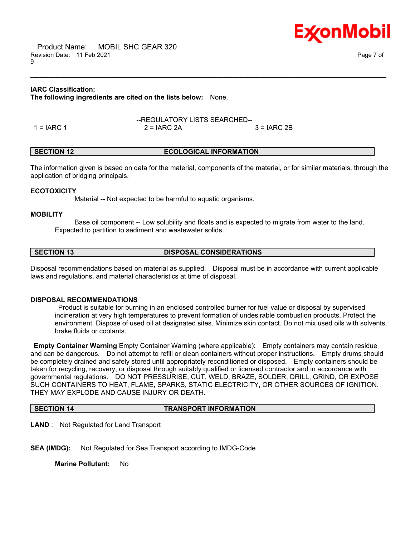Product Name: MOBIL SHC GEAR 320 Revision Date: 11 Feb 2021 Page 7 of 9

E**x**onMobil

### **IARC Classification:**

**The following ingredients are cited on the lists below:** None.

|            | --REGULATORY LISTS SEARCHED-- |              |  |
|------------|-------------------------------|--------------|--|
| 1 = IARC 1 | $2 = IARC 2A$                 | $3 = IARC2B$ |  |

### **SECTION 12 ECOLOGICAL INFORMATION**

The information given is based on data for the material, components of the material, or for similar materials, through the application of bridging principals.

\_\_\_\_\_\_\_\_\_\_\_\_\_\_\_\_\_\_\_\_\_\_\_\_\_\_\_\_\_\_\_\_\_\_\_\_\_\_\_\_\_\_\_\_\_\_\_\_\_\_\_\_\_\_\_\_\_\_\_\_\_\_\_\_\_\_\_\_\_\_\_\_\_\_\_\_\_\_\_\_\_\_\_\_\_\_\_\_\_\_\_\_\_\_\_\_\_\_\_\_\_\_\_\_\_\_\_\_\_\_\_\_\_\_\_\_\_\_

### **ECOTOXICITY**

Material -- Not expected to be harmful to aquatic organisms.

#### **MOBILITY**

 Base oil component -- Low solubility and floats and is expected to migrate from water to the land. Expected to partition to sediment and wastewater solids.

**SECTION 13 DISPOSAL CONSIDERATIONS**

Disposal recommendations based on material as supplied. Disposal must be in accordance with current applicable laws and regulations, and material characteristics at time of disposal.

# **DISPOSAL RECOMMENDATIONS**

 Product is suitable for burning in an enclosed controlled burner for fuel value or disposal by supervised incineration at very high temperatures to prevent formation of undesirable combustion products. Protect the environment. Dispose of used oil at designated sites. Minimize skin contact. Do not mix used oils with solvents, brake fluids or coolants.

**Empty Container Warning** Empty Container Warning (where applicable): Empty containers may contain residue and can be dangerous. Do not attempt to refill or clean containers without proper instructions. Empty drums should be completely drained and safely stored until appropriately reconditioned or disposed. Empty containers should be taken for recycling, recovery, or disposal through suitably qualified or licensed contractor and in accordance with governmental regulations. DO NOT PRESSURISE, CUT, WELD, BRAZE, SOLDER, DRILL, GRIND, OR EXPOSE SUCH CONTAINERS TO HEAT, FLAME, SPARKS, STATIC ELECTRICITY, OR OTHER SOURCES OF IGNITION. THEY MAY EXPLODE AND CAUSE INJURY OR DEATH.

#### **SECTION 14 TRANSPORT INFORMATION**

**LAND** : Not Regulated for Land Transport

**SEA (IMDG):** Not Regulated for Sea Transport according to IMDG-Code

**Marine Pollutant:** No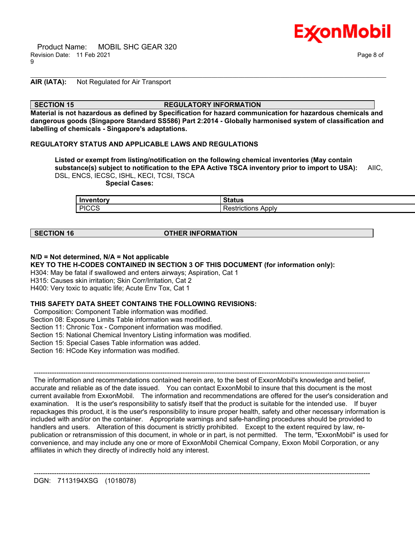

# **AIR (IATA):** Not Regulated for Air Transport

### **SECTION 15 REGULATORY INFORMATION**

**Material is not hazardous as defined by Specification for hazard communication for hazardous chemicals and dangerous goods (Singapore Standard SS586) Part 2:2014 - Globally harmonised system of classification and labelling of chemicals - Singapore's adaptations.**

\_\_\_\_\_\_\_\_\_\_\_\_\_\_\_\_\_\_\_\_\_\_\_\_\_\_\_\_\_\_\_\_\_\_\_\_\_\_\_\_\_\_\_\_\_\_\_\_\_\_\_\_\_\_\_\_\_\_\_\_\_\_\_\_\_\_\_\_\_\_\_\_\_\_\_\_\_\_\_\_\_\_\_\_\_\_\_\_\_\_\_\_\_\_\_\_\_\_\_\_\_\_\_\_\_\_\_\_\_\_\_\_\_\_\_\_\_\_

### **REGULATORY STATUS AND APPLICABLE LAWS AND REGULATIONS**

**Listed or exempt from listing/notification on the following chemical inventories (May contain substance(s) subject to notification to the EPA Active TSCA inventory prior to import to USA):** AIIC, DSL, ENCS, IECSC, ISHL, KECI, TCSI, TSCA  **Special Cases:**

| Inventory | <b>Status</b> |
|-----------|---------------|
| L PICCS   | Apply         |
| ن باب     | ≺estrictions  |

# **SECTION 16 OTHER INFORMATION**

# **N/D = Not determined, N/A = Not applicable**

**KEY TO THE H-CODES CONTAINED IN SECTION 3 OF THIS DOCUMENT (for information only):**

H304: May be fatal if swallowed and enters airways; Aspiration, Cat 1

H315: Causes skin irritation; Skin Corr/Irritation, Cat 2

H400: Very toxic to aquatic life; Acute Env Tox, Cat 1

# **THIS SAFETY DATA SHEET CONTAINS THE FOLLOWING REVISIONS:**

Composition: Component Table information was modified.

Section 08: Exposure Limits Table information was modified.

Section 11: Chronic Tox - Component information was modified.

Section 15: National Chemical Inventory Listing information was modified.

Section 15: Special Cases Table information was added.

Section 16: HCode Key information was modified.

 ----------------------------------------------------------------------------------------------------------------------------------------------------- The information and recommendations contained herein are, to the best of ExxonMobil's knowledge and belief, accurate and reliable as of the date issued. You can contact ExxonMobil to insure that this document is the most current available from ExxonMobil. The information and recommendations are offered for the user's consideration and examination. It is the user's responsibility to satisfy itself that the product is suitable for the intended use. If buyer repackages this product, it is the user's responsibility to insure proper health, safety and other necessary information is included with and/or on the container. Appropriate warnings and safe-handling procedures should be provided to handlers and users. Alteration of this document is strictly prohibited. Except to the extent required by law, republication or retransmission of this document, in whole or in part, is not permitted. The term, "ExxonMobil" is used for convenience, and may include any one or more of ExxonMobil Chemical Company, Exxon Mobil Corporation, or any affiliates in which they directly of indirectly hold any interest.

-----------------------------------------------------------------------------------------------------------------------------------------------------